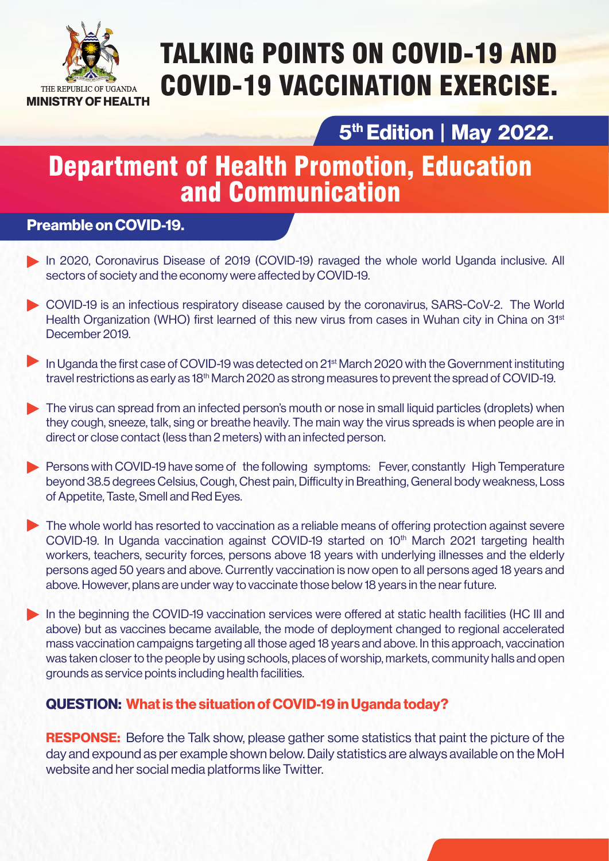

# TALKING POINTS ON COVID-19 AND COVID-19 VACCINATION EXERCISE.

## **5th Edition | May 2022.**

## Department of Health Promotion, Education and Communication

## **Preamble on COVID-19.**

- In 2020, Coronavirus Disease of 2019 (COVID-19) ravaged the whole world Uganda inclusive. All sectors of society and the economy were affected by COVID-19.
- COVID-19 is an infectious respiratory disease caused by the coronavirus, SARS-CoV-2. The World Health Organization (WHO) first learned of this new virus from cases in Wuhan city in China on 31<sup>st</sup> December 2019.
- In Uganda the first case of COVID-19 was detected on 21<sup>st</sup> March 2020 with the Government instituting travel restrictions as early as 18<sup>th</sup> March 2020 as strong measures to prevent the spread of COVID-19.
- The virus can spread from an infected person's mouth or nose in small liquid particles (droplets) when they cough, sneeze, talk, sing or breathe heavily. The main way the virus spreads is when people are in direct or close contact (less than 2 meters) with an infected person.
- **Persons with COVID-19 have some of the following symptoms: Fever, constantly High Temperature** beyond 38.5 degrees Celsius, Cough, Chest pain, Difficulty in Breathing, General body weakness, Loss of Appetite, Taste, Smell and Red Eyes.
- The whole world has resorted to vaccination as a reliable means of offering protection against severe COVID-19. In Uganda vaccination against COVID-19 started on 10<sup>th</sup> March 2021 targeting health workers, teachers, security forces, persons above 18 years with underlying illnesses and the elderly persons aged 50 years and above. Currently vaccination is now open to all persons aged 18 years and above. However, plans are under way to vaccinate those below 18 years in the near future.
- In the beginning the COVID-19 vaccination services were offered at static health facilities (HC III and above) but as vaccines became available, the mode of deployment changed to regional accelerated mass vaccination campaigns targeting all those aged 18 years and above. In this approach, vaccination was taken closer to the people by using schools, places of worship, markets, community halls and open grounds as service points including health facilities.

## **QUESTION: What is the situation of COVID-19 in Uganda today?**

**RESPONSE:** Before the Talk show, please gather some statistics that paint the picture of the day and expound as per example shown below. Daily statistics are always available on the MoH website and her social media platforms like Twitter.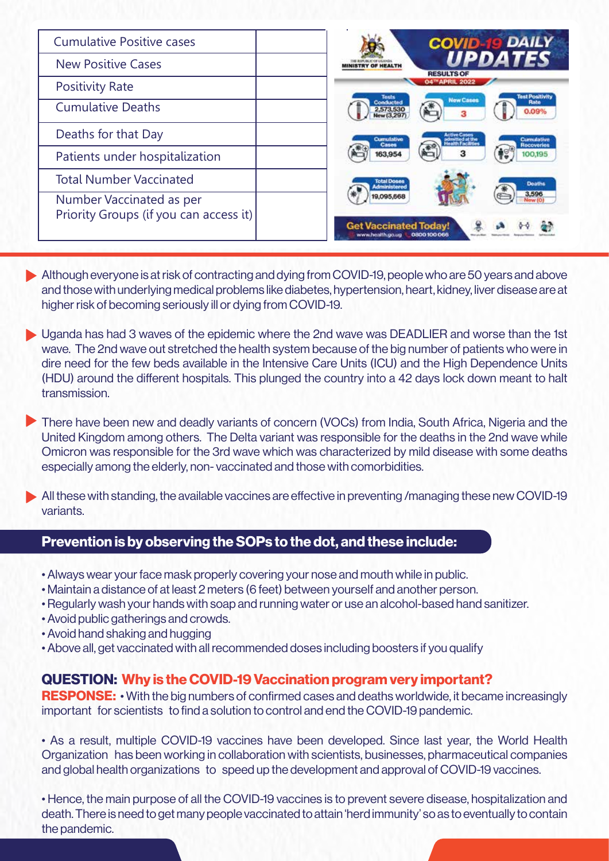| <b>Cumulative Positive cases</b>                                   | <b>DAILY</b><br><b>COVID</b>                                                                          |  |  |
|--------------------------------------------------------------------|-------------------------------------------------------------------------------------------------------|--|--|
| <b>New Positive Cases</b>                                          | UPDATES<br><b>RESULTS OF</b>                                                                          |  |  |
| <b>Positivity Rate</b>                                             | 04 <sup>m</sup> APRIL 2022<br><b>Test Positivit</b>                                                   |  |  |
| <b>Cumulative Deaths</b>                                           | <b>New Cases</b><br>Rate<br>2,573,530<br>0.09%<br>з                                                   |  |  |
| Deaths for that Day                                                | <b>Cumulative</b><br>Cumulative<br>admitted at the<br>Health Facilities<br>Cases<br><b>Recoveries</b> |  |  |
| Patients under hospitalization                                     | з<br>163,954<br>100.195                                                                               |  |  |
| <b>Total Number Vaccinated</b>                                     | <b>Deaths</b><br><b><i><u>Idministered</u></i></b>                                                    |  |  |
| Number Vaccinated as per<br>Priority Groups (if you can access it) | 3,596<br>19,095,668<br><b>Get Vaccinated Today!</b><br>www.nealth.go.ug                               |  |  |

- Although everyone is at risk of contracting and dying from COVID-19, people who are 50 years and above and those with underlying medical problems like diabetes, hypertension, heart, kidney, liver disease are at higher risk of becoming seriously ill or dying from COVID-19.
- ▶ Uganda has had 3 waves of the epidemic where the 2nd wave was DEADLIER and worse than the 1st wave. The 2nd wave out stretched the health system because of the big number of patients who were in dire need for the few beds available in the Intensive Care Units (ICU) and the High Dependence Units (HDU) around the different hospitals. This plunged the country into a 42 days lock down meant to halt transmission.

There have been new and deadly variants of concern (VOCs) from India, South Africa, Nigeria and the United Kingdom among others. The Delta variant was responsible for the deaths in the 2nd wave while Omicron was responsible for the 3rd wave which was characterized by mild disease with some deaths especially among the elderly, non- vaccinated and those with comorbidities.

All these with standing, the available vaccines are effective in preventing /managing these new COVID-19 variants.

## **Prevention is by observing the SOPs to the dot, and these include:**

- Always wear your face mask properly covering your nose and mouth while in public.
- Maintain a distance of at least 2 meters (6 feet) between yourself and another person.
- Regularly wash your hands with soap and running water or use an alcohol-based hand sanitizer.
- Avoid public gatherings and crowds.
- Avoid hand shaking and hugging
- Above all, get vaccinated with all recommended doses including boosters if you qualify

## **QUESTION: Why is the COVID-19 Vaccination program very important?**

**RESPONSE:** • With the big numbers of confirmed cases and deaths worldwide, it became increasingly important for scientists to find a solution to control and end the COVID-19 pandemic.

• As a result, multiple COVID-19 vaccines have been developed. Since last year, the World Health Organization has been working in collaboration with scientists, businesses, pharmaceutical companies and global health organizations to speed up the development and approval of COVID-19 vaccines.

• Hence, the main purpose of all the COVID-19 vaccines is to prevent severe disease, hospitalization and death. There is need to get many people vaccinated to attain 'herd immunity' so as to eventually to contain the pandemic.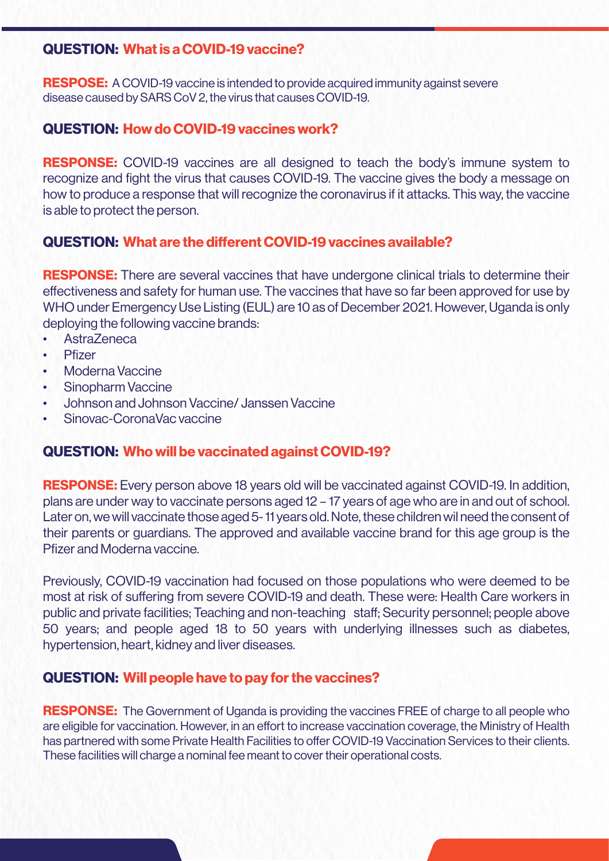## **QUESTION: What is a COVID-19 vaccine?**

**RESPOSE:** A COVID-19 vaccine is intended to provide acquired immunity against severe disease caused by SARS CoV 2, the virus that causes COVID-19.

## **QUESTION: How do COVID-19 vaccines work?**

**RESPONSE:** COVID-19 vaccines are all designed to teach the body's immune system to recognize and fight the virus that causes COVID-19. The vaccine gives the body a message on how to produce a response that will recognize the coronavirus if it attacks. This way, the vaccine is able to protect the person.

## **QUESTION: What are the different COVID-19 vaccines available?**

**RESPONSE:** There are several vaccines that have undergone clinical trials to determine their effectiveness and safety for human use. The vaccines that have so far been approved for use by WHO under Emergency Use Listing (EUL) are 10 as of December 2021. However, Uganda is only deploying the following vaccine brands:

- AstraZeneca
- Pfizer
- Moderna Vaccine
- Sinopharm Vaccine
- Johnson and Johnson Vaccine/ Janssen Vaccine
- Sinovac-CoronaVac vaccine

## **QUESTION: Who will be vaccinated against COVID-19?**

**RESPONSE:** Every person above 18 years old will be vaccinated against COVID-19. In addition, plans are under way to vaccinate persons aged 12 – 17 years of age who are in and out of school. Later on, we will vaccinate those aged 5- 11 years old. Note, these children wil need the consent of their parents or guardians. The approved and available vaccine brand for this age group is the Pfizer and Moderna vaccine.

Previously, COVID-19 vaccination had focused on those populations who were deemed to be most at risk of suffering from severe COVID-19 and death. These were: Health Care workers in public and private facilities; Teaching and non-teaching staff; Security personnel; people above 50 years; and people aged 18 to 50 years with underlying illnesses such as diabetes, hypertension, heart, kidney and liver diseases.

## **QUESTION: Will people have to pay for the vaccines?**

**RESPONSE:** The Government of Uganda is providing the vaccines FREE of charge to all people who are eligible for vaccination. However, in an effort to increase vaccination coverage, the Ministry of Health has partnered with some Private Health Facilities to offer COVID-19 Vaccination Services to their clients. These facilities will charge a nominal fee meant to cover their operational costs.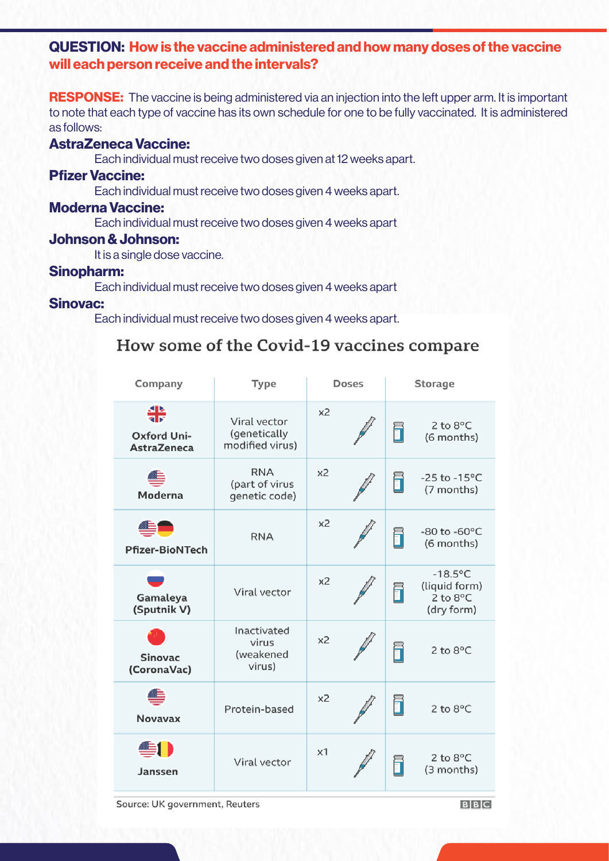## **QUESTION: How is the vaccine administered and how many doses of the vaccine will each person receive and the intervals?**

**RESPONSE:** The vaccine is being administered via an injection into the left upper arm. It is important to note that each type of vaccine has its own schedule for one to be fully vaccinated. It is administered as follows:

#### **AstraZeneca Vaccine:**

Each individual must receive two doses given at 12 weeks apart.

#### **Pfizer Vaccine:**

Each individual must receive two doses given 4 weeks apart.

#### **Moderna Vaccine:**

Each individual must receive two doses given 4 weeks apart

#### **Johnson & Johnson:**

It is a single dose vaccine.

#### **Sinopharm:**

Each individual must receive two doses given 4 weeks apart

#### **Sinovac:**

Each individual must receive two doses given 4 weeks apart.

## How some of the Covid-19 vaccines compare

| Company                                       | Type                                            | Doses          | <b>Storage</b>                                                         |
|-----------------------------------------------|-------------------------------------------------|----------------|------------------------------------------------------------------------|
| ╬<br><b>Oxford Uni-</b><br><b>AstraZeneca</b> | Viral vector<br>(genetically<br>modified virus) | x <sub>2</sub> | $2$ to $8^{\circ}$ C<br>i<br>(6 months)                                |
| Moderna                                       | <b>RNA</b><br>(part of virus<br>genetic code)   | x <sub>2</sub> | $-25$ to $-15^{\circ}$ C<br>f<br>(7 months)                            |
| ▀▀▔<br><b>Pfizer-BioNTech</b>                 | <b>RNA</b>                                      | x2             | $-80$ to $-60$ °C<br>h<br>(6 months)                                   |
| Gamaleya<br>(Sputnik V)                       | Viral vector                                    | x2             | $-18.5$ °C<br>(liquid form)<br>6<br>$2$ to $8^{\circ}$ C<br>(dry form) |
| <b>Sinovac</b><br>(CoronaVac)                 | Inactivated<br>virus<br>(weakened<br>virus)     | x <sub>2</sub> | i<br>2 to 8°C                                                          |
| <b>Novavax</b>                                | Protein-based                                   | x2             | 2 to 8°C                                                               |
| Janssen                                       | Viral vector                                    | $\times$ 1     | $2$ to $8^{\circ}$ C<br>(3 months)                                     |

Source: UK government, Reuters

**BBC**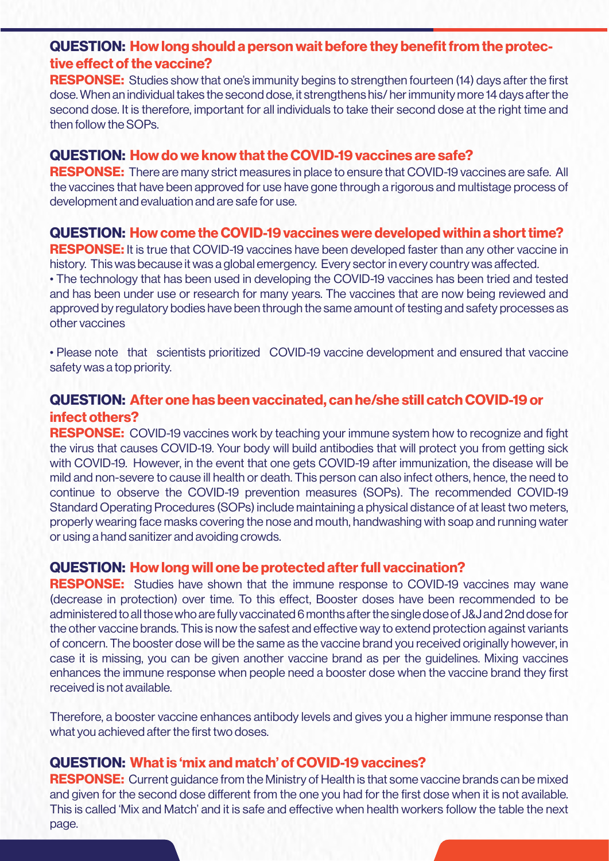## **QUESTION: How long should a person wait before they benefit from the protective effect of the vaccine?**

**RESPONSE:** Studies show that one's immunity begins to strengthen fourteen (14) days after the first dose. When an individual takes the second dose, it strengthens his/ her immunity more 14 days after the second dose. It is therefore, important for all individuals to take their second dose at the right time and then follow the SOPs.

## **QUESTION: How do we know that the COVID-19 vaccines are safe?**

**RESPONSE:** There are many strict measures in place to ensure that COVID-19 vaccines are safe. All the vaccines that have been approved for use have gone through a rigorous and multistage process of development and evaluation and are safe for use.

## **QUESTION: How come the COVID-19 vaccines were developed within a short time?**

**RESPONSE:** It is true that COVID-19 vaccines have been developed faster than any other vaccine in history. This was because it was a global emergency. Every sector in every country was affected. • The technology that has been used in developing the COVID-19 vaccines has been tried and tested and has been under use or research for many years. The vaccines that are now being reviewed and approved by regulatory bodies have been through the same amount of testing and safety processes as other vaccines

• Please note that scientists prioritized COVID-19 vaccine development and ensured that vaccine safety was a top priority.

## **QUESTION: After one has been vaccinated, can he/she still catch COVID-19 or infect others?**

**RESPONSE:** COVID-19 vaccines work by teaching your immune system how to recognize and fight the virus that causes COVID-19. Your body will build antibodies that will protect you from getting sick with COVID-19. However, in the event that one gets COVID-19 after immunization, the disease will be mild and non-severe to cause ill health or death. This person can also infect others, hence, the need to continue to observe the COVID-19 prevention measures (SOPs). The recommended COVID-19 Standard Operating Procedures (SOPs) include maintaining a physical distance of at least two meters, properly wearing face masks covering the nose and mouth, handwashing with soap and running water or using a hand sanitizer and avoiding crowds.

## **QUESTION: How long will one be protected after full vaccination?**

**RESPONSE:** Studies have shown that the immune response to COVID-19 vaccines may wane (decrease in protection) over time. To this effect, Booster doses have been recommended to be administered to all those who are fully vaccinated 6 months after the single dose of J&J and 2nd dose for the other vaccine brands. This is now the safest and effective way to extend protection against variants of concern. The booster dose will be the same as the vaccine brand you received originally however, in case it is missing, you can be given another vaccine brand as per the guidelines. Mixing vaccines enhances the immune response when people need a booster dose when the vaccine brand they first received is not available.

Therefore, a booster vaccine enhances antibody levels and gives you a higher immune response than what you achieved after the first two doses.

## **QUESTION: What is 'mix and match' of COVID-19 vaccines?**

**RESPONSE:** Current guidance from the Ministry of Health is that some vaccine brands can be mixed and given for the second dose different from the one you had for the first dose when it is not available. This is called 'Mix and Match' and it is safe and effective when health workers follow the table the next page.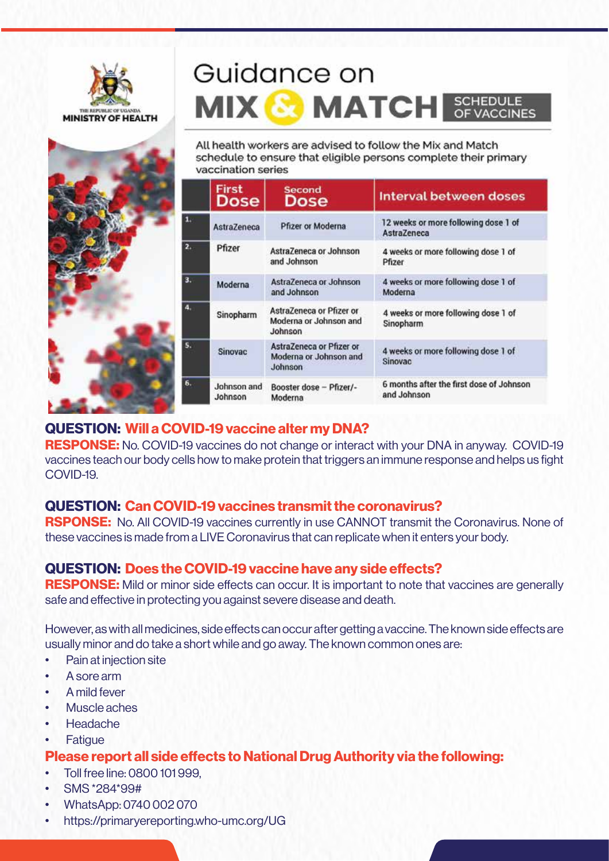





|    | <b>First</b><br>Dose   | <b>Second</b><br>Dose                                         | Interval between doses                                     |
|----|------------------------|---------------------------------------------------------------|------------------------------------------------------------|
| 1. | AstraZeneca            | Pfizer or Moderna                                             | 12 weeks or more following dose 1 of<br><b>AstraZeneca</b> |
| 2. | Pfizer                 | AstraZeneca or Johnson<br>and Johnson                         | 4 weeks or more following dose 1 of<br>Pfizer              |
| 3. | Moderna                | AstraZeneca or Johnson<br>and Johnson                         | 4 weeks or more following dose 1 of<br>Moderna             |
| A. | Sinopharm              | AstraZeneca or Pfizer or<br>Moderna or Johnson and<br>Johnson | 4 weeks or more following dose 1 of<br>Sinopharm           |
| 5. | <b>Sinovac</b>         | AstraZeneca or Pfizer or<br>Moderna or Johnson and<br>Johnson | 4 weeks or more following dose 1 of<br>Sinovac             |
| 6. | Johnson and<br>Johnson | Booster dose - Pfizer/-<br>Moderna                            | 6 months after the first dose of Johnson<br>and Johnson    |

## **QUESTION: Will a COVID-19 vaccine alter my DNA?**

**RESPONSE:** No. COVID-19 vaccines do not change or interact with your DNA in anyway. COVID-19 vaccines teach our body cells how to make protein that triggers an immune response and helps us fight COVID-19.

## **QUESTION: Can COVID-19 vaccines transmit the coronavirus?**

**RSPONSE:** No. All COVID-19 vaccines currently in use CANNOT transmit the Coronavirus. None of these vaccines is made from a LIVE Coronavirus that can replicate when it enters your body.

## **QUESTION: Does the COVID-19 vaccine have any side effects?**

**RESPONSE:** Mild or minor side effects can occur. It is important to note that vaccines are generally safe and effective in protecting you against severe disease and death.

However, as with all medicines, side effects can occur after getting a vaccine. The known side effects are usually minor and do take a short while and go away. The known common ones are:

- Pain at injection site
- A sore arm
- A mild fever
- Muscle aches
- Headache
- **Fatigue**

## **Please report all side effects to National Drug Authority via the following:**

- Toll free line: 0800 101 999,
- SMS \*284\*99#
- WhatsApp: 0740 002 070
- https://primaryereporting.who-umc.org/UG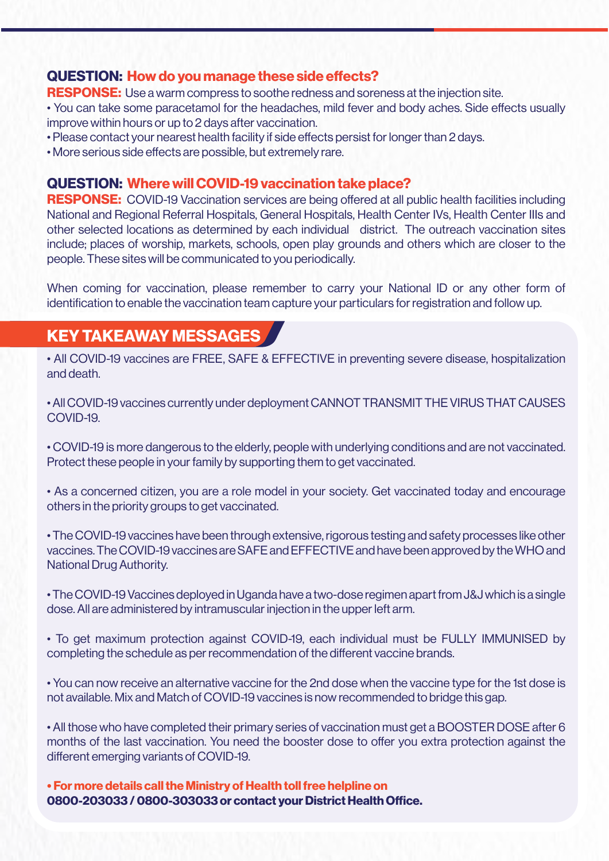## **QUESTION: How do you manage these side effects?**

**RESPONSE:** Use a warm compress to soothe redness and soreness at the injection site.

• You can take some paracetamol for the headaches, mild fever and body aches. Side effects usually improve within hours or up to 2 days after vaccination.

• Please contact your nearest health facility if side effects persist for longer than 2 days.

• More serious side effects are possible, but extremely rare.

## **QUESTION: Where will COVID-19 vaccination take place?**

**RESPONSE:** COVID-19 Vaccination services are being offered at all public health facilities including National and Regional Referral Hospitals, General Hospitals, Health Center IVs, Health Center IIIs and other selected locations as determined by each individual district. The outreach vaccination sites include; places of worship, markets, schools, open play grounds and others which are closer to the people. These sites will be communicated to you periodically.

When coming for vaccination, please remember to carry your National ID or any other form of identification to enable the vaccination team capture your particulars for registration and follow up.

## **KEY TAKEAWAY MESSAGES**

• All COVID-19 vaccines are FREE, SAFE & EFFECTIVE in preventing severe disease, hospitalization and death.

• All COVID-19 vaccines currently under deployment CANNOT TRANSMIT THE VIRUS THAT CAUSES COVID-19.

• COVID-19 is more dangerous to the elderly, people with underlying conditions and are not vaccinated. Protect these people in your family by supporting them to get vaccinated.

• As a concerned citizen, you are a role model in your society. Get vaccinated today and encourage others in the priority groups to get vaccinated.

• The COVID-19 vaccines have been through extensive, rigorous testing and safety processes like other vaccines. The COVID-19 vaccines are SAFE and EFFECTIVE and have been approved by the WHO and National Drug Authority.

• The COVID-19 Vaccines deployed in Uganda have a two-dose regimen apart from J&J which is a single dose. All are administered by intramuscular injection in the upper left arm.

• To get maximum protection against COVID-19, each individual must be FULLY IMMUNISED by completing the schedule as per recommendation of the different vaccine brands.

• You can now receive an alternative vaccine for the 2nd dose when the vaccine type for the 1st dose is not available. Mix and Match of COVID-19 vaccines is now recommended to bridge this gap.

• All those who have completed their primary series of vaccination must get a BOOSTER DOSE after 6 months of the last vaccination. You need the booster dose to offer you extra protection against the different emerging variants of COVID-19.

**• For more details call the Ministry of Health toll free helpline on 0800-203033 / 0800-303033 or contact your District Health Office.**